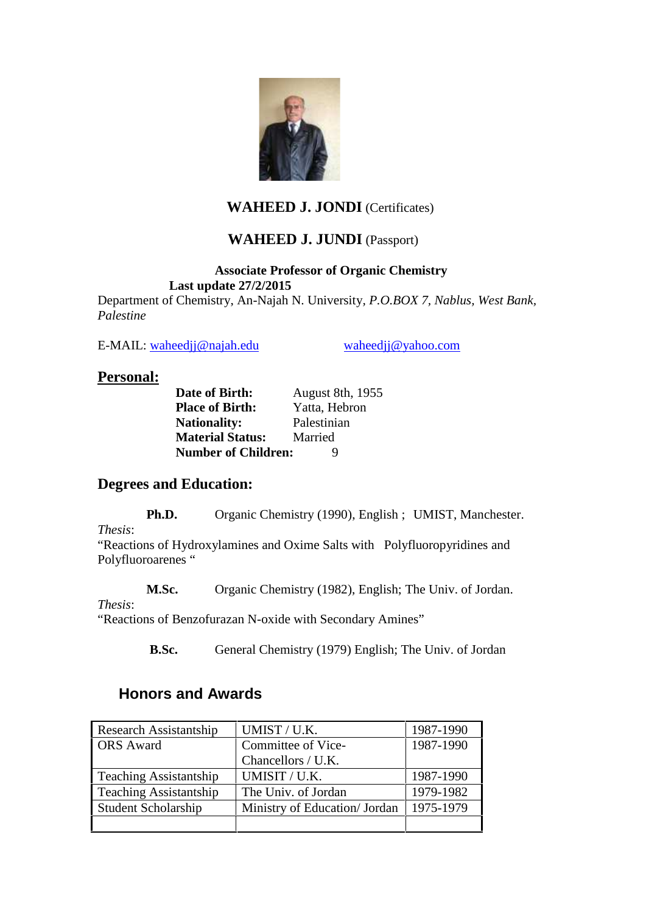

## **WAHEED J. JONDI** (Certificates)

## **WAHEED J. JUNDI** (Passport)

#### **Associate Professor of Organic Chemistry Last update 27/2/2015**

Department of Chemistry, An-Najah N. University*, P.O.BOX 7, Nablus, West Bank, Palestine*

E-MAIL: waheedjj@najah.edu waheedjj@yahoo.com

### **Personal:**

**Date of Birth:** August 8th, 1955 **Place of Birth:** Yatta, Hebron<br>**Nationality:** Palestinian **Nationality: Material Status:** Married **Number of Children:** 9

## **Degrees and Education:**

**Ph.D.** Organic Chemistry (1990), English; UMIST, Manchester.

*Thesis*:

"Reactions of Hydroxylamines and Oxime Salts with Polyfluoropyridines and Polyfluoroarenes "

**M.Sc.** Organic Chemistry (1982), English; The Univ. of Jordan.

#### *Thesis*:

"Reactions of Benzofurazan N-oxide with Secondary Amines"

**B.Sc.** General Chemistry (1979) English; The Univ. of Jordan

## **Honors and Awards**

| Research Assistantship        | UMIST / U.K.                  | 1987-1990 |
|-------------------------------|-------------------------------|-----------|
| <b>ORS</b> Award              | Committee of Vice-            | 1987-1990 |
|                               | Chancellors / U.K.            |           |
| <b>Teaching Assistantship</b> | UMISIT / U.K.                 | 1987-1990 |
| <b>Teaching Assistantship</b> | The Univ. of Jordan           | 1979-1982 |
| <b>Student Scholarship</b>    | Ministry of Education/ Jordan | 1975-1979 |
|                               |                               |           |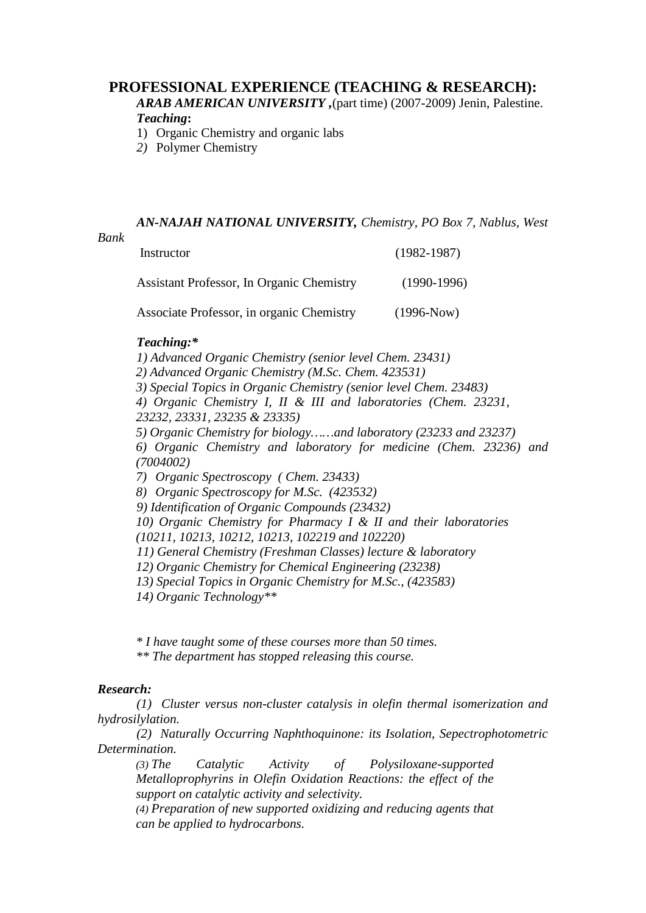#### **PROFESSIONAL EXPERIENCE (TEACHING & RESEARCH):**

*ARAB AMERICAN UNIVERSITY ,*(part time) (2007-2009) Jenin, Palestine. *Teaching***:**

- 1) Organic Chemistry and organic labs
- *2)* Polymer Chemistry

*AN-NAJAH NATIONAL UNIVERSITY, Chemistry, PO Box 7, Nablus, West*

Instructor (1982-1987)

Assistant Professor, In Organic Chemistry (1990-1996) Associate Professor, in organic Chemistry (1996-Now)

# *Teaching:\**

*1) Advanced Organic Chemistry (senior level Chem. 23431) 2) Advanced Organic Chemistry (M.Sc. Chem. 423531) 3) Special Topics in Organic Chemistry (senior level Chem. 23483) 4) Organic Chemistry I, II & III and laboratories (Chem. 23231, 23232, 23331, 23235 & 23335) 5) Organic Chemistry for biology……and laboratory (23233 and 23237) 6) Organic Chemistry and laboratory for medicine (Chem. 23236) and (7004002) 7) Organic Spectroscopy ( Chem. 23433) 8) Organic Spectroscopy for M.Sc. (423532) 9) Identification of Organic Compounds (23432) 10) Organic Chemistry for Pharmacy I & II and their laboratories (10211, 10213, 10212, 10213, 102219 and 102220) 11) General Chemistry (Freshman Classes) lecture & laboratory 12) Organic Chemistry for Chemical Engineering (23238) 13) Special Topics in Organic Chemistry for M.Sc., (423583) 14) Organic Technology\*\**

*\* I have taught some of these courses more than 50 times.*

*\*\* The department has stopped releasing this course.*

#### *Research:*

*(1) Cluster versus non-cluster catalysis in olefin thermal isomerization and hydrosilylation.*

*(2) Naturally Occurring Naphthoquinone: its Isolation, Sepectrophotometric Determination.*

*(3) The Catalytic Activity of Polysiloxane-supported Metalloprophyrins in Olefin Oxidation Reactions: the effect of the support on catalytic activity and selectivity.*

*(4) Preparation of new supported oxidizing and reducing agents that can be applied to hydrocarbons.*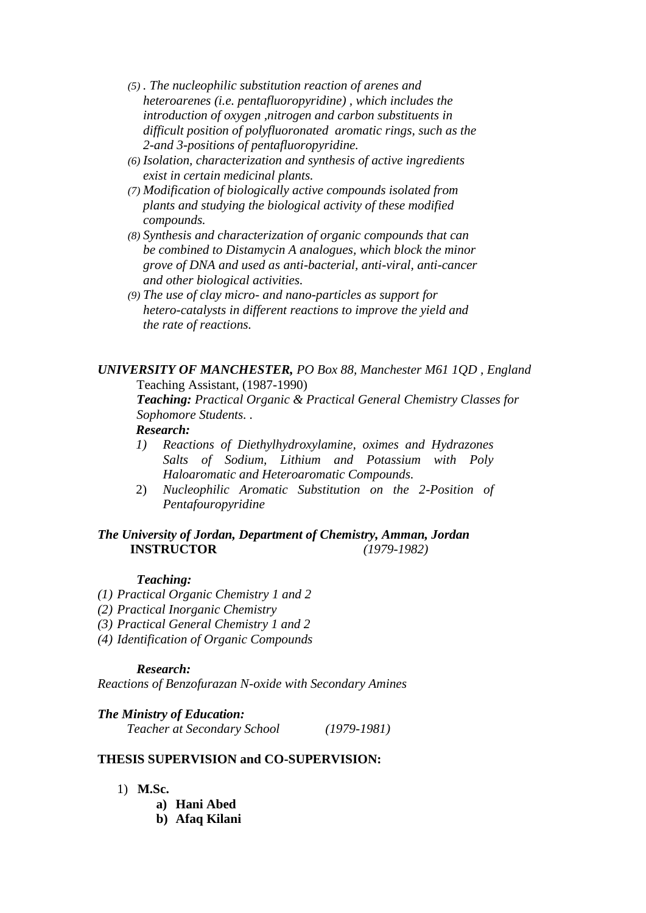- *(5) . The nucleophilic substitution reaction of arenes and heteroarenes (i.e. pentafluoropyridine) , which includes the introduction of oxygen ,nitrogen and carbon substituents in difficult position of polyfluoronated aromatic rings, such as the 2-and 3-positions of pentafluoropyridine.*
- *(6) Isolation, characterization and synthesis of active ingredients exist in certain medicinal plants.*
- *(7) Modification of biologically active compounds isolated from plants and studying the biological activity of these modified compounds.*
- *(8) Synthesis and characterization of organic compounds that can be combined to Distamycin A analogues, which block the minor grove of DNA and used as anti-bacterial, anti-viral, anti-cancer and other biological activities.*
- *(9) The use of clay micro- and nano-particles as support for hetero-catalysts in different reactions to improve the yield and the rate of reactions.*

*UNIVERSITY OF MANCHESTER, PO Box 88, Manchester M61 1QD , England* Teaching Assistant, (1987-1990)

*Teaching: Practical Organic & Practical General Chemistry Classes for Sophomore Students. .*

#### *Research:*

- *1) Reactions of Diethylhydroxylamine, oximes and Hydrazones Salts of Sodium, Lithium and Potassium with Poly Haloaromatic and Heteroaromatic Compounds.*
- 2) *Nucleophilic Aromatic Substitution on the 2-Position of Pentafouropyridine*

#### *The University of Jordan, Department of Chemistry, Amman, Jordan* **INSTRUCTOR** *(1979-1982)*

#### *Teaching:*

- *(1) Practical Organic Chemistry 1 and 2*
- *(2) Practical Inorganic Chemistry*
- *(3) Practical General Chemistry 1 and 2*
- *(4) Identification of Organic Compounds*

#### *Research:*

*Reactions of Benzofurazan N-oxide with Secondary Amines*

#### *The Ministry of Education:*

*Teacher at Secondary School (1979-1981)*

#### **THESIS SUPERVISION and CO-SUPERVISION:**

- 1) **M.Sc.**
	- **a) Hani Abed**
	- **b) Afaq Kilani**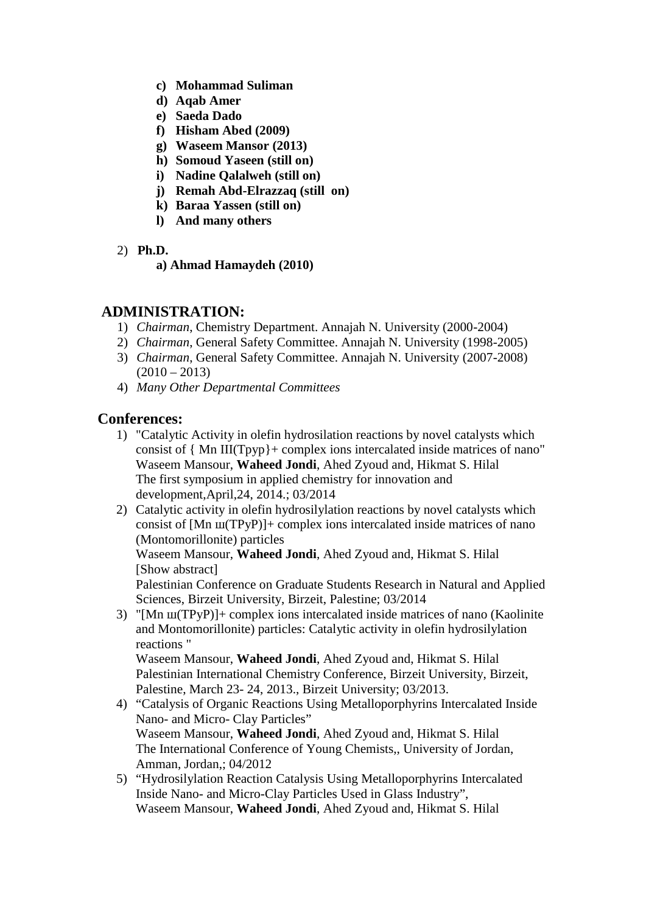- **c) Mohammad Suliman**
- **d) Aqab Amer**
- **e) Saeda Dado**
- **f) Hisham Abed (2009)**
- **g) Waseem Mansor (2013)**
- **h) Somoud Yaseen (still on)**
- **i) Nadine Qalalweh (still on)**
- **j) Remah Abd-Elrazzaq (still on)**
- **k) Baraa Yassen (still on)**
- **l) And many others**
- 2) **Ph.D.**
	- **a) Ahmad Hamaydeh (2010)**

## **ADMINISTRATION:**

- 1) *Chairman*, Chemistry Department. Annajah N. University (2000-2004)
- 2) *Chairman*, General Safety Committee. Annajah N. University (1998-2005)
- 3) *Chairman*, General Safety Committee. Annajah N. University (2007-2008)  $(2010 - 2013)$
- 4) *Many Other Departmental Committees*

## **Conferences:**

- 1) "Catalytic Activity in olefin hydrosilation reactions by novel catalysts which consist of { Mn III(Tpyp}+ complex ions intercalated inside matrices of nano" Waseem Mansour, **Waheed Jondi**, Ahed Zyoud and, Hikmat S. Hilal The first symposium in applied chemistry for innovation and development,April,24, 2014.; 03/2014
- 2) Catalytic activity in olefin hydrosilylation reactions by novel catalysts which consist of  $[Mn (TPyP)] + complex ions intercalated inside matrices of nano$ (Montomorillonite) particles

Waseem Mansour, **Waheed Jondi**, Ahed Zyoud and, Hikmat S. Hilal [Show abstract]

Palestinian Conference on Graduate Students Research in Natural and Applied Sciences, Birzeit University, Birzeit, Palestine; 03/2014

3) "[Mn (TPyP)]+ complex ions intercalated inside matrices of nano (Kaolinite) and Montomorillonite) particles: Catalytic activity in olefin hydrosilylation reactions "

Waseem Mansour, **Waheed Jondi**, Ahed Zyoud and, Hikmat S. Hilal Palestinian International Chemistry Conference, Birzeit University, Birzeit, Palestine, March 23- 24, 2013., Birzeit University; 03/2013.

- 4) "Catalysis of Organic Reactions Using Metalloporphyrins Intercalated Inside Nano- and Micro- Clay Particles" Waseem Mansour, **Waheed Jondi**, Ahed Zyoud and, Hikmat S. Hilal The International Conference of Young Chemists,, University of Jordan, Amman, Jordan,; 04/2012
- 5) "Hydrosilylation Reaction Catalysis Using Metalloporphyrins Intercalated Inside Nano- and Micro-Clay Particles Used in Glass Industry", Waseem Mansour, **Waheed Jondi**, Ahed Zyoud and, Hikmat S. Hilal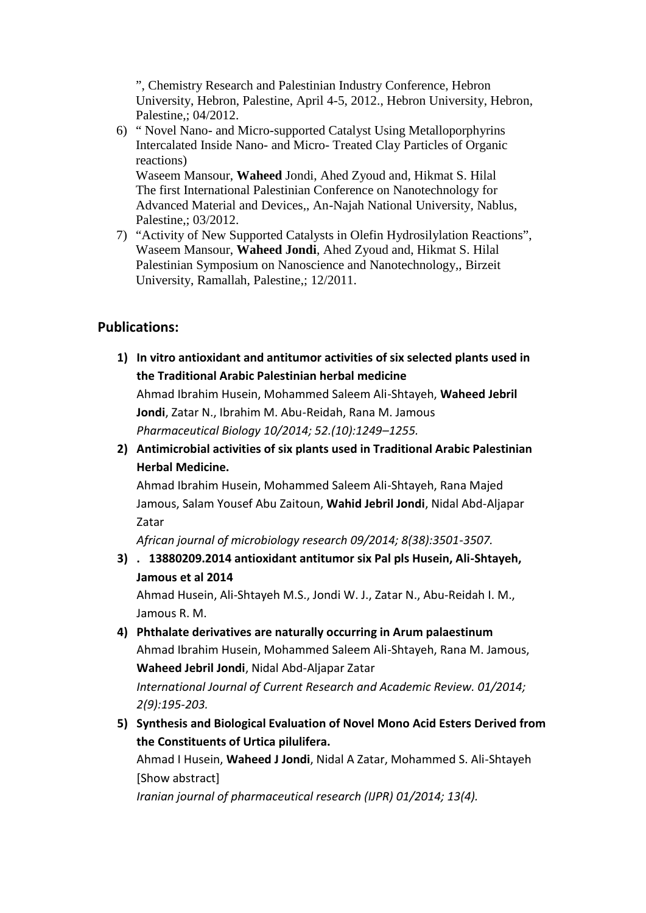", Chemistry Research and Palestinian Industry Conference, Hebron University, Hebron, Palestine, April 4-5, 2012., Hebron University, Hebron, Palestine,; 04/2012.

6) " Novel Nano- and Micro-supported Catalyst Using Metalloporphyrins Intercalated Inside Nano- and Micro- Treated Clay Particles of Organic reactions)

Waseem Mansour, **Waheed** Jondi, Ahed Zyoud and, Hikmat S. Hilal The first International Palestinian Conference on Nanotechnology for Advanced Material and Devices,, An-Najah National University, Nablus, Palestine,; 03/2012.

7) "Activity of New Supported Catalysts in Olefin Hydrosilylation Reactions", Waseem Mansour, **Waheed Jondi**, Ahed Zyoud and, Hikmat S. Hilal Palestinian Symposium on Nanoscience and Nanotechnology,, Birzeit University, Ramallah, Palestine,; 12/2011.

## **Publications:**

- **1) In vitro antioxidant and antitumor activities of six selected plants used in the Traditional Arabic Palestinian herbal medicine** Ahmad Ibrahim Husein, Mohammed Saleem Ali-Shtayeh, **Waheed Jebril Jondi**, Zatar N., Ibrahim M. Abu-Reidah, Rana M. Jamous *Pharmaceutical Biology 10/2014; 52.(10):1249–1255.*
- **2) Antimicrobial activities of six plants used in Traditional Arabic Palestinian Herbal Medicine.**

Ahmad Ibrahim Husein, Mohammed Saleem Ali-Shtayeh, Rana Majed Jamous, Salam Yousef Abu Zaitoun, **Wahid Jebril Jondi**, Nidal Abd-Aljapar Zatar

*African journal of microbiology research 09/2014; 8(38):3501-3507.*

**3) . 13880209.2014 antioxidant antitumor six Pal pls Husein, Ali-Shtayeh, Jamous et al 2014**

Ahmad Husein, Ali-Shtayeh M.S., Jondi W. J., Zatar N., Abu-Reidah I. M., Jamous R. M.

- **4) Phthalate derivatives are naturally occurring in Arum palaestinum** Ahmad Ibrahim Husein, Mohammed Saleem Ali-Shtayeh, Rana M. Jamous, **Waheed Jebril Jondi**, Nidal Abd-Aljapar Zatar *International Journal of Current Research and Academic Review. 01/2014; 2(9):195-203.*
- **5) Synthesis and Biological Evaluation of Novel Mono Acid Esters Derived from the Constituents of Urtica pilulifera.**

Ahmad I Husein, **Waheed J Jondi**, Nidal A Zatar, Mohammed S. Ali-Shtayeh [Show abstract]

*Iranian journal of pharmaceutical research (IJPR) 01/2014; 13(4).*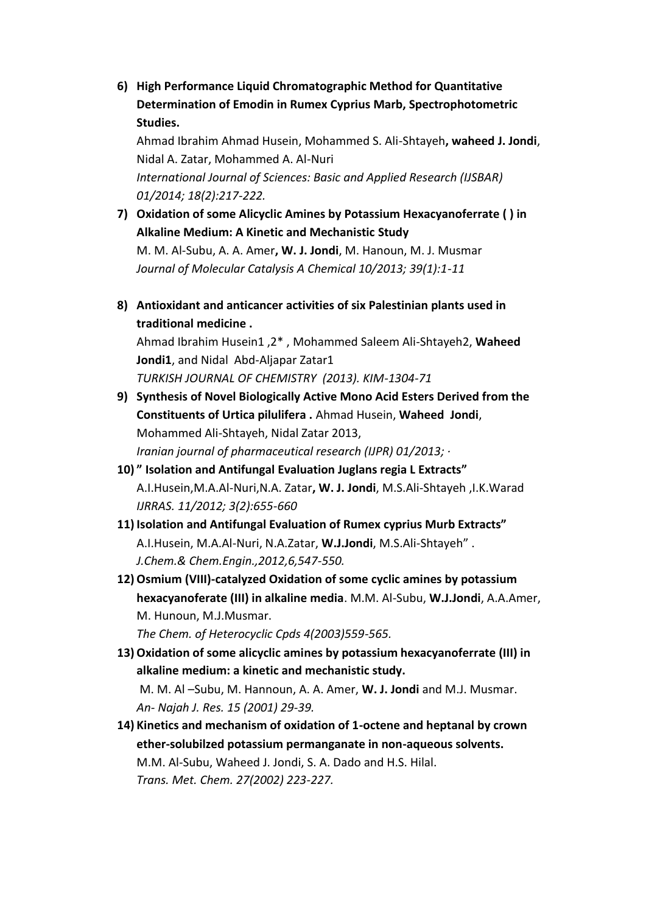**6) High Performance Liquid Chromatographic Method for Quantitative Determination of Emodin in Rumex Cyprius Marb, Spectrophotometric Studies.**

Ahmad Ibrahim Ahmad Husein, Mohammed S. Ali-Shtayeh**, waheed J. Jondi**, Nidal A. Zatar, Mohammed A. Al-Nuri *International Journal of Sciences: Basic and Applied Research (IJSBAR) 01/2014; 18(2):217-222.*

- **7) Oxidation of some Alicyclic Amines by Potassium Hexacyanoferrate ( ) in Alkaline Medium: A Kinetic and Mechanistic Study** M. M. Al-Subu, A. A. Amer**, W. J. Jondi**, M. Hanoun, M. J. Musmar *Journal of Molecular Catalysis A Chemical 10/2013; 39(1):1-11*
- **8) Antioxidant and anticancer activities of six Palestinian plants used in traditional medicine .**

Ahmad Ibrahim Husein1 ,2\* , Mohammed Saleem Ali-Shtayeh2, **Waheed Jondi1**, and Nidal Abd-Aljapar Zatar1

*TURKISH JOURNAL OF CHEMISTRY (2013). KIM-1304-71*

**9) Synthesis of Novel Biologically Active Mono Acid Esters Derived from the Constituents of Urtica pilulifera .** Ahmad Husein, **Waheed Jondi**, Mohammed Ali-Shtayeh, Nidal Zatar 2013,

*Iranian journal of pharmaceutical research (IJPR) 01/2013; ·*

- **10) " Isolation and Antifungal Evaluation Juglans regia L Extracts"** A.I.Husein,M.A.Al-Nuri,N.A. Zatar**, W. J. Jondi**, M.S.Ali-Shtayeh ,I.K.Warad *IJRRAS. 11/2012; 3(2):655-660*
- **11) Isolation and Antifungal Evaluation of Rumex cyprius Murb Extracts"** A.I.Husein, M.A.Al-Nuri, N.A.Zatar, **W.J.Jondi**, M.S.Ali-Shtayeh" . *J.Chem.& Chem.Engin.,2012,6,547-550.*
- **12)Osmium (VIII)-catalyzed Oxidation of some cyclic amines by potassium hexacyanoferate (III) in alkaline media**. M.M. Al-Subu, **W.J.Jondi**, A.A.Amer, M. Hunoun, M.J.Musmar.

*The Chem. of Heterocyclic Cpds 4(2003)559-565.*

**13)Oxidation of some alicyclic amines by potassium hexacyanoferrate (III) in alkaline medium: a kinetic and mechanistic study.**

M. M. Al –Subu, M. Hannoun, A. A. Amer, **W. J. Jondi** and M.J. Musmar. *An- Najah J. Res. 15 (2001) 29-39.*

**14) Kinetics and mechanism of oxidation of 1-octene and heptanal by crown ether-solubilzed potassium permanganate in non-aqueous solvents.** M.M. Al-Subu, Waheed J. Jondi, S. A. Dado and H.S. Hilal. *Trans. Met. Chem. 27(2002) 223-227.*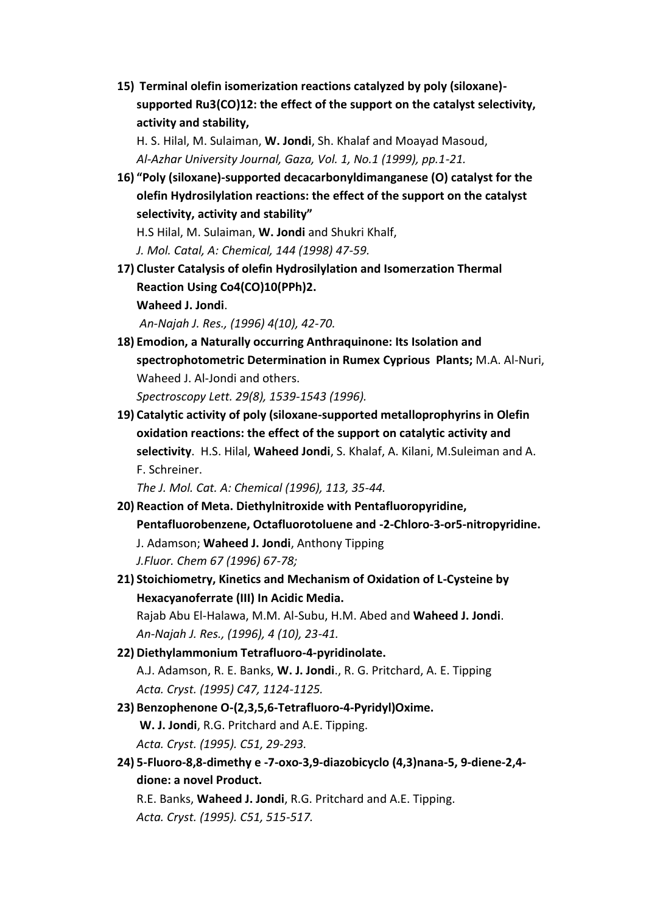**15) Terminal olefin isomerization reactions catalyzed by poly (siloxane) supported Ru3(CO)12: the effect of the support on the catalyst selectivity, activity and stability,**

H. S. Hilal, M. Sulaiman, **W. Jondi**, Sh. Khalaf and Moayad Masoud, *Al-Azhar University Journal, Gaza, Vol. 1, No.1 (1999), pp.1-21.*

**16) "Poly (siloxane)-supported decacarbonyldimanganese (O) catalyst for the olefin Hydrosilylation reactions: the effect of the support on the catalyst selectivity, activity and stability"**

H.S Hilal, M. Sulaiman, **W. Jondi** and Shukri Khalf,

*J. Mol. Catal, A: Chemical, 144 (1998) 47-59.*

**17) Cluster Catalysis of olefin Hydrosilylation and Isomerzation Thermal Reaction Using Co4(CO)10(PPh)2. Waheed J. Jondi**.

*An-Najah J. Res., (1996) 4(10), 42-70.*

- **18) Emodion, a Naturally occurring Anthraquinone: Its Isolation and spectrophotometric Determination in Rumex Cyprious Plants;** M.A. Al-Nuri, Waheed J. Al-Jondi and others. *Spectroscopy Lett. 29(8), 1539-1543 (1996).*
- **19) Catalytic activity of poly (siloxane-supported metalloprophyrins in Olefin oxidation reactions: the effect of the support on catalytic activity and selectivity**. H.S. Hilal, **Waheed Jondi**, S. Khalaf, A. Kilani, M.Suleiman and A. F. Schreiner.

*The J. Mol. Cat. A: Chemical (1996), 113, 35-44.*

- **20) Reaction of Meta. Diethylnitroxide with Pentafluoropyridine, Pentafluorobenzene, Octafluorotoluene and -2-Chloro-3-or5-nitropyridine.** J. Adamson; **Waheed J. Jondi**, Anthony Tipping *J.Fluor. Chem 67 (1996) 67-78;*
- **21) Stoichiometry, Kinetics and Mechanism of Oxidation of L-Cysteine by Hexacyanoferrate (III) In Acidic Media.**

Rajab Abu El-Halawa, M.M. Al-Subu, H.M. Abed and **Waheed J. Jondi**. *An-Najah J. Res., (1996), 4 (10), 23-41.*

- **22) Diethylammonium Tetrafluoro-4-pyridinolate.** A.J. Adamson, R. E. Banks, **W. J. Jondi**., R. G. Pritchard, A. E. Tipping *Acta. Cryst. (1995) C47, 1124-1125.*
- **23) Benzophenone O-(2,3,5,6-Tetrafluoro-4-Pyridyl)Oxime. W. J. Jondi**, R.G. Pritchard and A.E. Tipping. *Acta. Cryst. (1995). C51, 29-293.*
- **24) 5-Fluoro-8,8-dimethy e -7-oxo-3,9-diazobicyclo (4,3)nana-5, 9-diene-2,4 dione: a novel Product.**

R.E. Banks, **Waheed J. Jondi**, R.G. Pritchard and A.E. Tipping. *Acta. Cryst. (1995). C51, 515-517.*